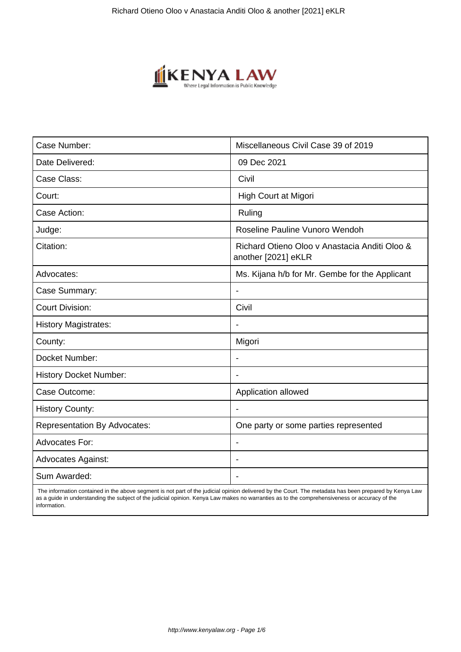

| Case Number:                        | Miscellaneous Civil Case 39 of 2019                                  |
|-------------------------------------|----------------------------------------------------------------------|
| Date Delivered:                     | 09 Dec 2021                                                          |
| Case Class:                         | Civil                                                                |
| Court:                              | High Court at Migori                                                 |
| Case Action:                        | Ruling                                                               |
| Judge:                              | Roseline Pauline Vunoro Wendoh                                       |
| Citation:                           | Richard Otieno Oloo y Anastacia Anditi Oloo &<br>another [2021] eKLR |
| Advocates:                          | Ms. Kijana h/b for Mr. Gembe for the Applicant                       |
| Case Summary:                       |                                                                      |
| <b>Court Division:</b>              | Civil                                                                |
| <b>History Magistrates:</b>         | $\blacksquare$                                                       |
| County:                             | Migori                                                               |
| Docket Number:                      |                                                                      |
| <b>History Docket Number:</b>       |                                                                      |
| Case Outcome:                       | Application allowed                                                  |
| <b>History County:</b>              | $\blacksquare$                                                       |
| <b>Representation By Advocates:</b> | One party or some parties represented                                |
| <b>Advocates For:</b>               |                                                                      |
| <b>Advocates Against:</b>           |                                                                      |
| Sum Awarded:                        |                                                                      |

 The information contained in the above segment is not part of the judicial opinion delivered by the Court. The metadata has been prepared by Kenya Law as a guide in understanding the subject of the judicial opinion. Kenya Law makes no warranties as to the comprehensiveness or accuracy of the information.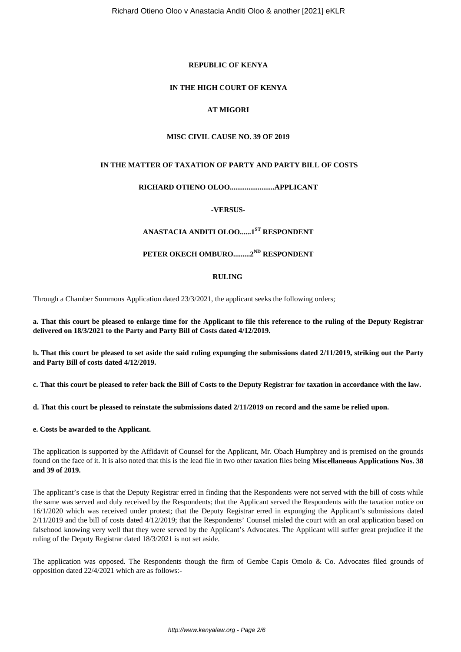# **REPUBLIC OF KENYA**

# **IN THE HIGH COURT OF KENYA**

# **AT MIGORI**

# **MISC CIVIL CAUSE NO. 39 OF 2019**

# **IN THE MATTER OF TAXATION OF PARTY AND PARTY BILL OF COSTS**

# **RICHARD OTIENO OLOO........................APPLICANT**

**-VERSUS-**

# **ANASTACIA ANDITI OLOO......1ST RESPONDENT**

# **PETER OKECH OMBURO.........2ND RESPONDENT**

# **RULING**

Through a Chamber Summons Application dated 23/3/2021, the applicant seeks the following orders;

**a. That this court be pleased to enlarge time for the Applicant to file this reference to the ruling of the Deputy Registrar delivered on 18/3/2021 to the Party and Party Bill of Costs dated 4/12/2019.**

**b. That this court be pleased to set aside the said ruling expunging the submissions dated 2/11/2019, striking out the Party and Party Bill of costs dated 4/12/2019.** 

**c. That this court be pleased to refer back the Bill of Costs to the Deputy Registrar for taxation in accordance with the law.**

**d. That this court be pleased to reinstate the submissions dated 2/11/2019 on record and the same be relied upon.**

**e. Costs be awarded to the Applicant.** 

The application is supported by the Affidavit of Counsel for the Applicant, Mr. Obach Humphrey and is premised on the grounds found on the face of it. It is also noted that this is the lead file in two other taxation files being **Miscellaneous Applications Nos. 38 and 39 of 2019.**

The applicant's case is that the Deputy Registrar erred in finding that the Respondents were not served with the bill of costs while the same was served and duly received by the Respondents; that the Applicant served the Respondents with the taxation notice on 16/1/2020 which was received under protest; that the Deputy Registrar erred in expunging the Applicant's submissions dated 2/11/2019 and the bill of costs dated 4/12/2019; that the Respondents' Counsel misled the court with an oral application based on falsehood knowing very well that they were served by the Applicant's Advocates. The Applicant will suffer great prejudice if the ruling of the Deputy Registrar dated 18/3/2021 is not set aside.

The application was opposed. The Respondents though the firm of Gembe Capis Omolo & Co. Advocates filed grounds of opposition dated 22/4/2021 which are as follows:-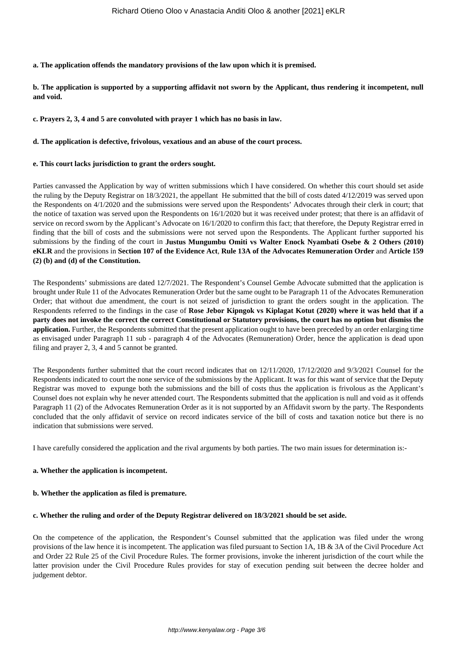**a. The application offends the mandatory provisions of the law upon which it is premised.** 

**b. The application is supported by a supporting affidavit not sworn by the Applicant, thus rendering it incompetent, null and void.** 

**c. Prayers 2, 3, 4 and 5 are convoluted with prayer 1 which has no basis in law.** 

#### **d. The application is defective, frivolous, vexatious and an abuse of the court process.**

#### **e. This court lacks jurisdiction to grant the orders sought.**

Parties canvassed the Application by way of written submissions which I have considered. On whether this court should set aside the ruling by the Deputy Registrar on 18/3/2021, the appellant He submitted that the bill of costs dated 4/12/2019 was served upon the Respondents on 4/1/2020 and the submissions were served upon the Respondents' Advocates through their clerk in court; that the notice of taxation was served upon the Respondents on 16/1/2020 but it was received under protest; that there is an affidavit of service on record sworn by the Applicant's Advocate on 16/1/2020 to confirm this fact; that therefore, the Deputy Registrar erred in finding that the bill of costs and the submissions were not served upon the Respondents. The Applicant further supported his submissions by the finding of the court in **Justus Mungumbu Omiti vs Walter Enock Nyambati Osebe & 2 Others (2010) eKLR** and the provisions in **Section 107 of the Evidence Act**, **Rule 13A of the Advocates Remuneration Order** and **Article 159 (2) (b) and (d) of the Constitution.** 

The Respondents' submissions are dated 12/7/2021. The Respondent's Counsel Gembe Advocate submitted that the application is brought under Rule 11 of the Advocates Remuneration Order but the same ought to be Paragraph 11 of the Advocates Remuneration Order; that without due amendment, the court is not seized of jurisdiction to grant the orders sought in the application. The Respondents referred to the findings in the case of **Rose Jebor Kipngok vs Kiplagat Kotut (2020) where it was held that if a party does not invoke the correct the correct Constitutional or Statutory provisions, the court has no option but dismiss the application.** Further, the Respondents submitted that the present application ought to have been preceded by an order enlarging time as envisaged under Paragraph 11 sub - paragraph 4 of the Advocates (Remuneration) Order, hence the application is dead upon filing and prayer 2, 3, 4 and 5 cannot be granted.

The Respondents further submitted that the court record indicates that on 12/11/2020, 17/12/2020 and 9/3/2021 Counsel for the Respondents indicated to court the none service of the submissions by the Applicant. It was for this want of service that the Deputy Registrar was moved to expunge both the submissions and the bill of costs thus the application is frivolous as the Applicant's Counsel does not explain why he never attended court. The Respondents submitted that the application is null and void as it offends Paragraph 11 (2) of the Advocates Remuneration Order as it is not supported by an Affidavit sworn by the party. The Respondents concluded that the only affidavit of service on record indicates service of the bill of costs and taxation notice but there is no indication that submissions were served.

I have carefully considered the application and the rival arguments by both parties. The two main issues for determination is:-

### **a. Whether the application is incompetent.**

#### **b. Whether the application as filed is premature.**

#### **c. Whether the ruling and order of the Deputy Registrar delivered on 18/3/2021 should be set aside.**

On the competence of the application, the Respondent's Counsel submitted that the application was filed under the wrong provisions of the law hence it is incompetent. The application was filed pursuant to Section 1A, 1B & 3A of the Civil Procedure Act and Order 22 Rule 25 of the Civil Procedure Rules. The former provisions, invoke the inherent jurisdiction of the court while the latter provision under the Civil Procedure Rules provides for stay of execution pending suit between the decree holder and judgement debtor.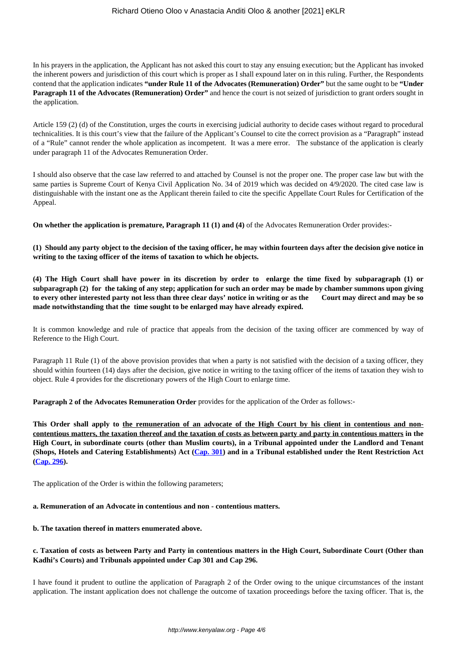## Richard Otieno Oloo v Anastacia Anditi Oloo & another [2021] eKLR

In his prayers in the application, the Applicant has not asked this court to stay any ensuing execution; but the Applicant has invoked the inherent powers and jurisdiction of this court which is proper as I shall expound later on in this ruling. Further, the Respondents contend that the application indicates **"under Rule 11 of the Advocates (Remuneration) Order"** but the same ought to be **"Under Paragraph 11 of the Advocates (Remuneration) Order"** and hence the court is not seized of jurisdiction to grant orders sought in the application.

Article 159 (2) (d) of the Constitution, urges the courts in exercising judicial authority to decide cases without regard to procedural technicalities. It is this court's view that the failure of the Applicant's Counsel to cite the correct provision as a "Paragraph" instead of a "Rule" cannot render the whole application as incompetent. It was a mere error. The substance of the application is clearly under paragraph 11 of the Advocates Remuneration Order.

I should also observe that the case law referred to and attached by Counsel is not the proper one. The proper case law but with the same parties is Supreme Court of Kenya Civil Application No. 34 of 2019 which was decided on 4/9/2020. The cited case law is distinguishable with the instant one as the Applicant therein failed to cite the specific Appellate Court Rules for Certification of the Appeal.

**On whether the application is premature, Paragraph 11 (1) and (4)** of the Advocates Remuneration Order provides:-

**(1) Should any party object to the decision of the taxing officer, he may within fourteen days after the decision give notice in writing to the taxing officer of the items of taxation to which he objects.**

**(4) The High Court shall have power in its discretion by order to enlarge the time fixed by subparagraph (1) or subparagraph (2) for the taking of any step; application for such an order may be made by chamber summons upon giving to every other interested party not less than three clear days' notice in writing or as the Court may direct and may be so made notwithstanding that the time sought to be enlarged may have already expired.**

It is common knowledge and rule of practice that appeals from the decision of the taxing officer are commenced by way of Reference to the High Court.

Paragraph 11 Rule (1) of the above provision provides that when a party is not satisfied with the decision of a taxing officer, they should within fourteen (14) days after the decision, give notice in writing to the taxing officer of the items of taxation they wish to object. Rule 4 provides for the discretionary powers of the High Court to enlarge time.

**Paragraph 2 of the Advocates Remuneration Order** provides for the application of the Order as follows:-

**This Order shall apply to the remuneration of an advocate of the High Court by his client in contentious and noncontentious matters, the taxation thereof and the taxation of costs as between party and party in contentious matters in the High Court, in subordinate courts (other than Muslim courts), in a Tribunal appointed under the Landlord and Tenant (Shops, Hotels and Catering Establishments) Act [\(Cap. 301\)](http://kenyalaw.org:8181/exist/kenyalex/actviewbyid.xql"id=KE/LEG/AR/L/CHAPTER%20301#KE/LEG/AR/L/CHAPTER%20301) and in a Tribunal established under the Rent Restriction Act ([Cap. 296\)](http://kenyalaw.org:8181/exist/kenyalex/actviewbyid.xql"id=KE/LEG/AR/R/CHAPTER%20296#KE/LEG/AR/R/CHAPTER%20296).**

The application of the Order is within the following parameters;

### **a. Remuneration of an Advocate in contentious and non - contentious matters.**

### **b. The taxation thereof in matters enumerated above.**

# **c. Taxation of costs as between Party and Party in contentious matters in the High Court, Subordinate Court (Other than Kadhi's Courts) and Tribunals appointed under Cap 301 and Cap 296.**

I have found it prudent to outline the application of Paragraph 2 of the Order owing to the unique circumstances of the instant application. The instant application does not challenge the outcome of taxation proceedings before the taxing officer. That is, the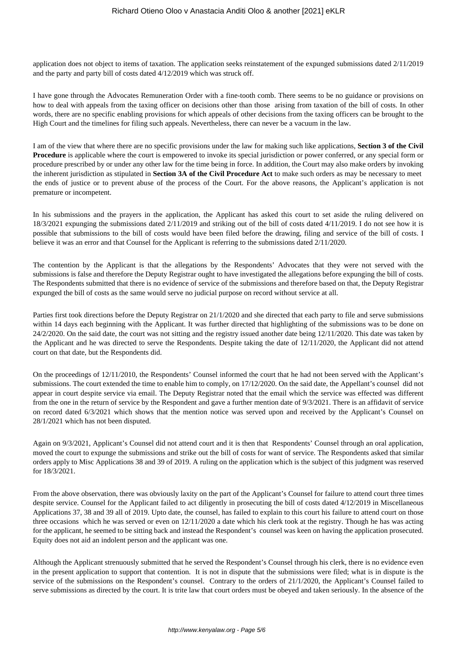application does not object to items of taxation. The application seeks reinstatement of the expunged submissions dated 2/11/2019 and the party and party bill of costs dated 4/12/2019 which was struck off.

I have gone through the Advocates Remuneration Order with a fine-tooth comb. There seems to be no guidance or provisions on how to deal with appeals from the taxing officer on decisions other than those arising from taxation of the bill of costs. In other words, there are no specific enabling provisions for which appeals of other decisions from the taxing officers can be brought to the High Court and the timelines for filing such appeals. Nevertheless, there can never be a vacuum in the law.

I am of the view that where there are no specific provisions under the law for making such like applications, **Section 3 of the Civil Procedure** is applicable where the court is empowered to invoke its special jurisdiction or power conferred, or any special form or procedure prescribed by or under any other law for the time being in force. In addition, the Court may also make orders by invoking the inherent jurisdiction as stipulated in **Section 3A of the Civil Procedure Act** to make such orders as may be necessary to meet the ends of justice or to prevent abuse of the process of the Court. For the above reasons, the Applicant's application is not premature or incompetent.

In his submissions and the prayers in the application, the Applicant has asked this court to set aside the ruling delivered on 18/3/2021 expunging the submissions dated 2/11/2019 and striking out of the bill of costs dated 4/11/2019. I do not see how it is possible that submissions to the bill of costs would have been filed before the drawing, filing and service of the bill of costs. I believe it was an error and that Counsel for the Applicant is referring to the submissions dated 2/11/2020.

The contention by the Applicant is that the allegations by the Respondents' Advocates that they were not served with the submissions is false and therefore the Deputy Registrar ought to have investigated the allegations before expunging the bill of costs. The Respondents submitted that there is no evidence of service of the submissions and therefore based on that, the Deputy Registrar expunged the bill of costs as the same would serve no judicial purpose on record without service at all.

Parties first took directions before the Deputy Registrar on 21/1/2020 and she directed that each party to file and serve submissions within 14 days each beginning with the Applicant. It was further directed that highlighting of the submissions was to be done on 24/2/2020. On the said date, the court was not sitting and the registry issued another date being 12/11/2020. This date was taken by the Applicant and he was directed to serve the Respondents. Despite taking the date of 12/11/2020, the Applicant did not attend court on that date, but the Respondents did.

On the proceedings of 12/11/2010, the Respondents' Counsel informed the court that he had not been served with the Applicant's submissions. The court extended the time to enable him to comply, on 17/12/2020. On the said date, the Appellant's counsel did not appear in court despite service via email. The Deputy Registrar noted that the email which the service was effected was different from the one in the return of service by the Respondent and gave a further mention date of 9/3/2021. There is an affidavit of service on record dated 6/3/2021 which shows that the mention notice was served upon and received by the Applicant's Counsel on 28/1/2021 which has not been disputed.

Again on 9/3/2021, Applicant's Counsel did not attend court and it is then that Respondents' Counsel through an oral application, moved the court to expunge the submissions and strike out the bill of costs for want of service. The Respondents asked that similar orders apply to Misc Applications 38 and 39 of 2019. A ruling on the application which is the subject of this judgment was reserved for 18/3/2021.

From the above observation, there was obviously laxity on the part of the Applicant's Counsel for failure to attend court three times despite service. Counsel for the Applicant failed to act diligently in prosecuting the bill of costs dated 4/12/2019 in Miscellaneous Applications 37, 38 and 39 all of 2019. Upto date, the counsel, has failed to explain to this court his failure to attend court on those three occasions which he was served or even on 12/11/2020 a date which his clerk took at the registry. Though he has was acting for the applicant, he seemed to be sitting back and instead the Respondent's counsel was keen on having the application prosecuted. Equity does not aid an indolent person and the applicant was one.

Although the Applicant strenuously submitted that he served the Respondent's Counsel through his clerk, there is no evidence even in the present application to support that contention. It is not in dispute that the submissions were filed; what is in dispute is the service of the submissions on the Respondent's counsel. Contrary to the orders of 21/1/2020, the Applicant's Counsel failed to serve submissions as directed by the court. It is trite law that court orders must be obeyed and taken seriously. In the absence of the